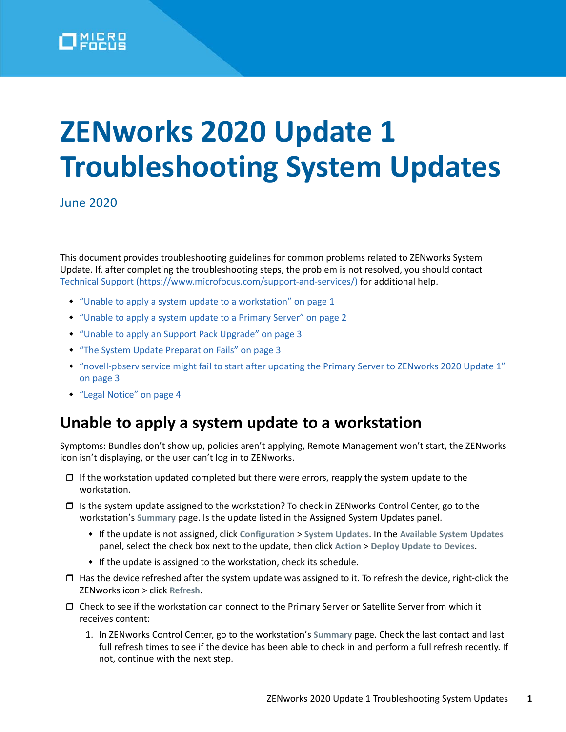

# **ZENworks 2020 Update 1 Troubleshooting System Updates**

June 2020

This document provides troubleshooting guidelines for common problems related to ZENworks System Update. If, after completing the troubleshooting steps, the problem is not resolved, you should contact [Technical Support](https://www.microfocus.com/support-and-services/) (https://www.microfocus.com/support-and-services/) for additional help.

- ["Unable to apply a system update to a workstation" on page 1](#page-0-0)
- ["Unable to apply a system update to a Primary Server" on page 2](#page-1-0)
- ["Unable to apply an Support Pack Upgrade" on page 3](#page-2-0)
- ["The System Update Preparation Fails" on page 3](#page-2-1)
- ["novell-pbserv service might fail to start after updating the Primary Server to ZENworks 2020 Update 1"](#page-2-2)  [on page 3](#page-2-2)
- ["Legal Notice" on page 4](#page-3-0)

#### <span id="page-0-0"></span>**Unable to apply a system update to a workstation**

Symptoms: Bundles don't show up, policies aren't applying, Remote Management won't start, the ZENworks icon isn't displaying, or the user can't log in to ZENworks.

- $\Box$  If the workstation updated completed but there were errors, reapply the system update to the workstation.
- $\Box$  Is the system update assigned to the workstation? To check in ZENworks Control Center, go to the workstation's **Summary** page. Is the update listed in the Assigned System Updates panel.
	- If the update is not assigned, click **Configuration** > **System Updates**. In the **Available System Updates** panel, select the check box next to the update, then click **Action** > **Deploy Update to Devices**.
	- If the update is assigned to the workstation, check its schedule.
- $\Box$  Has the device refreshed after the system update was assigned to it. To refresh the device, right-click the ZENworks icon > click **Refresh**.
- Check to see if the workstation can connect to the Primary Server or Satellite Server from which it receives content:
	- 1. In ZENworks Control Center, go to the workstation's **Summary** page. Check the last contact and last full refresh times to see if the device has been able to check in and perform a full refresh recently. If not, continue with the next step.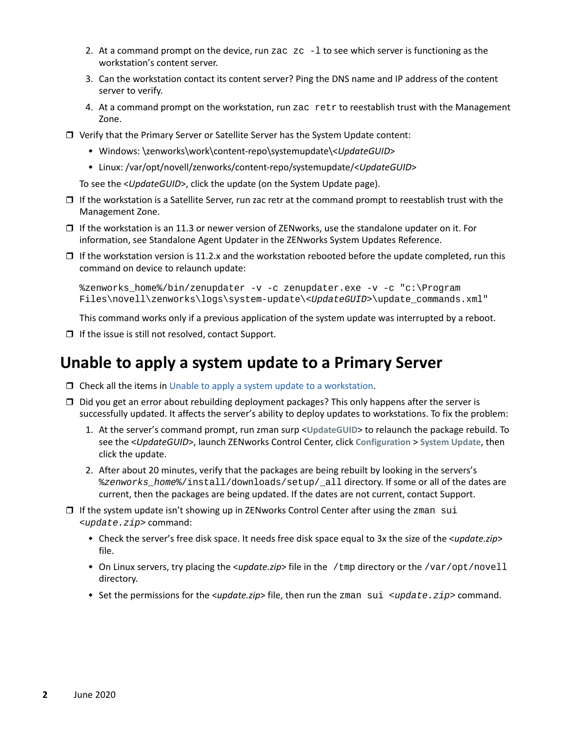- 2. At a command prompt on the device, run zac  $z \sim -1$  to see which server is functioning as the workstation's content server.
- 3. Can the workstation contact its content server? Ping the DNS name and IP address of the content server to verify.
- 4. At a command prompt on the workstation, run zac retr to reestablish trust with the Management Zone.
- Verify that the Primary Server or Satellite Server has the System Update content:
	- Windows: \zenworks\work\content-repo\systemupdate\<*UpdateGUID*>
	- Linux: /var/opt/novell/zenworks/content-repo/systemupdate/<*UpdateGUID*>

To see the <*UpdateGUID*>, click the update (on the System Update page).

- $\Box$  If the workstation is a Satellite Server, run zac retr at the command prompt to reestablish trust with the Management Zone.
- $\Box$  If the workstation is an 11.3 or newer version of ZENworks, use the standalone updater on it. For information, see Standalone Agent Updater in the ZENworks System Updates Reference.
- $\Box$  If the workstation version is 11.2.x and the workstation rebooted before the update completed, run this command on device to relaunch update:

```
%zenworks_home%/bin/zenupdater -v -c zenupdater.exe -v -c "c:\Program 
Files\novell\zenworks\logs\system-update\<UpdateGUID>\update_commands.xml"
```
This command works only if a previous application of the system update was interrupted by a reboot.

 $\Box$  If the issue is still not resolved, contact Support.

#### <span id="page-1-0"></span>**Unable to apply a system update to a Primary Server**

- $\Box$  Check all the items in [Unable to apply a system update to a workstation.](#page-0-0)
- $\Box$  Did you get an error about rebuilding deployment packages? This only happens after the server is successfully updated. It affects the server's ability to deploy updates to workstations. To fix the problem:
	- 1. At the server's command prompt, run zman surp <**UpdateGUID**> to relaunch the package rebuild. To see the <*UpdateGUID*>, launch ZENworks Control Center, click **Configuration** > **System Update**, then click the update.
	- 2. After about 20 minutes, verify that the packages are being rebuilt by looking in the servers's %*zenworks\_home*%/install/downloads/setup/\_all directory. If some or all of the dates are current, then the packages are being updated. If the dates are not current, contact Support.
- $\Box$  If the system update isn't showing up in ZENworks Control Center after using the zman sui <*update.zip*> command:
	- Check the server's free disk space. It needs free disk space equal to 3x the size of the <*update.zip*> file.
	- On Linux servers, try placing the <*update.zip*> file in the /tmp directory or the /var/opt/novell directory.
	- Set the permissions for the <*update.zip*> file, then run the zman sui <*update.zip*> command.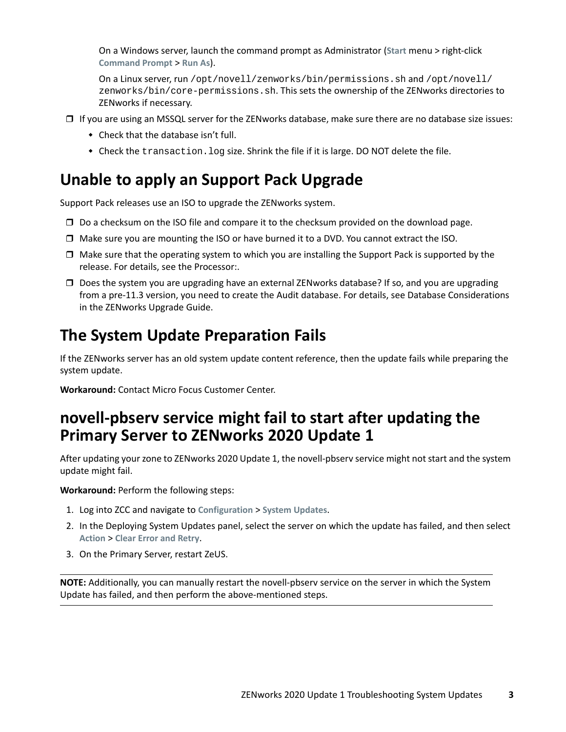On a Windows server, launch the command prompt as Administrator (**Start** menu > right-click **Command Prompt** > **Run As**).

On a Linux server, run /opt/novell/zenworks/bin/permissions.sh and /opt/novell/ zenworks/bin/core-permissions.sh. This sets the ownership of the ZENworks directories to ZENworks if necessary.

- $\Box$  If you are using an MSSQL server for the ZENworks database, make sure there are no database size issues:
	- Check that the database isn't full.
	- Check the transaction. log size. Shrink the file if it is large. DO NOT delete the file.

## <span id="page-2-0"></span>**Unable to apply an Support Pack Upgrade**

Support Pack releases use an ISO to upgrade the ZENworks system.

- □ Do a checksum on the ISO file and compare it to the checksum provided on the download page.
- Make sure you are mounting the ISO or have burned it to a DVD. You cannot extract the ISO.
- $\Box$  Make sure that the operating system to which you are installing the Support Pack is supported by the release. For details, see the Processor:.
- $\Box$  Does the system you are upgrading have an external ZENworks database? If so, and you are upgrading from a pre-11.3 version, you need to create the Audit database. For details, see Database Considerations in the ZENworks Upgrade Guide.

### <span id="page-2-1"></span>**The System Update Preparation Fails**

If the ZENworks server has an old system update content reference, then the update fails while preparing the system update.

**Workaround:** Contact Micro Focus Customer Center.

#### <span id="page-2-2"></span>**novell-pbserv service might fail to start after updating the Primary Server to ZENworks 2020 Update 1**

After updating your zone to ZENworks 2020 Update 1, the novell-pbserv service might not start and the system update might fail.

**Workaround:** Perform the following steps:

- 1. Log into ZCC and navigate to **Configuration** > **System Updates**.
- 2. In the Deploying System Updates panel, select the server on which the update has failed, and then select **Action** > **Clear Error and Retry**.
- 3. On the Primary Server, restart ZeUS.

**NOTE:** Additionally, you can manually restart the novell-pbserv service on the server in which the System Update has failed, and then perform the above-mentioned steps.